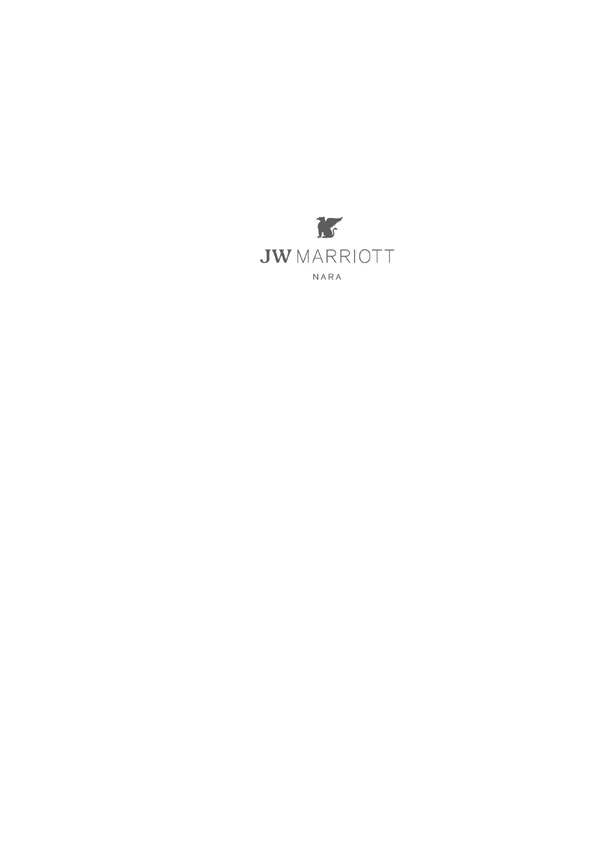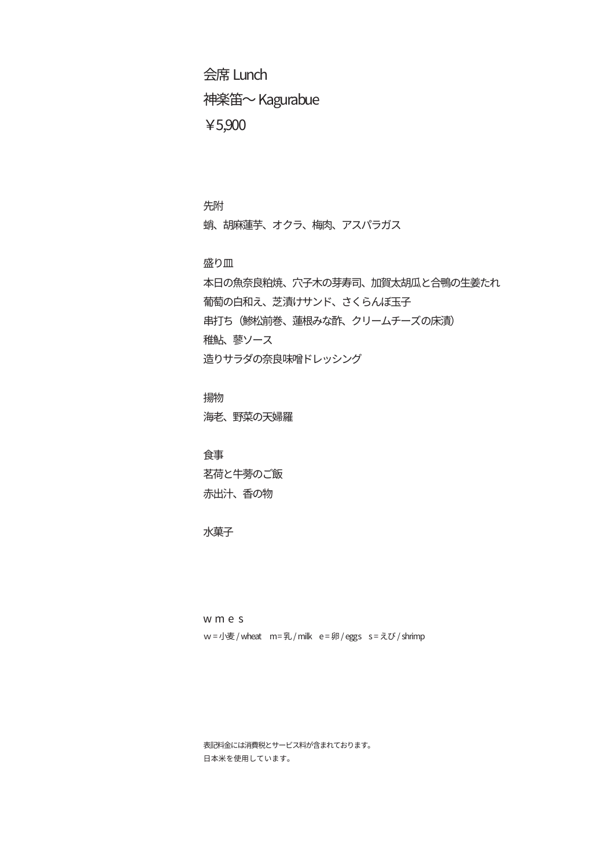Lunch 会席 神楽笛~ Kagurabue ¥5,900

先附 蛸、胡麻蓮芋、オクラ、梅肉、アスパラガス

盛り皿

本日の魚奈良粕焼、穴子木の芽寿司、加賀太胡瓜と合鴨の生姜たれ 葡萄の白和え、芝漬けサンド、さくらんぼ玉子 串打ち(鯵松前巻、蓮根みな酢、クリームチーズの床漬) 稚鮎 蓼ソース 造りサラダの奈良味噌ドレッシング

揚物 海老、野菜の天婦羅

食事 茗荷と牛蒡のご飯 赤出汁、香の物

水菓子

w m e s w = 小麦 / wheat m = 乳 / milk e = 卵 / eggs s = えび / shrimp

表記料金には消費税とサービス料が含まれております。 。日本米を使用しています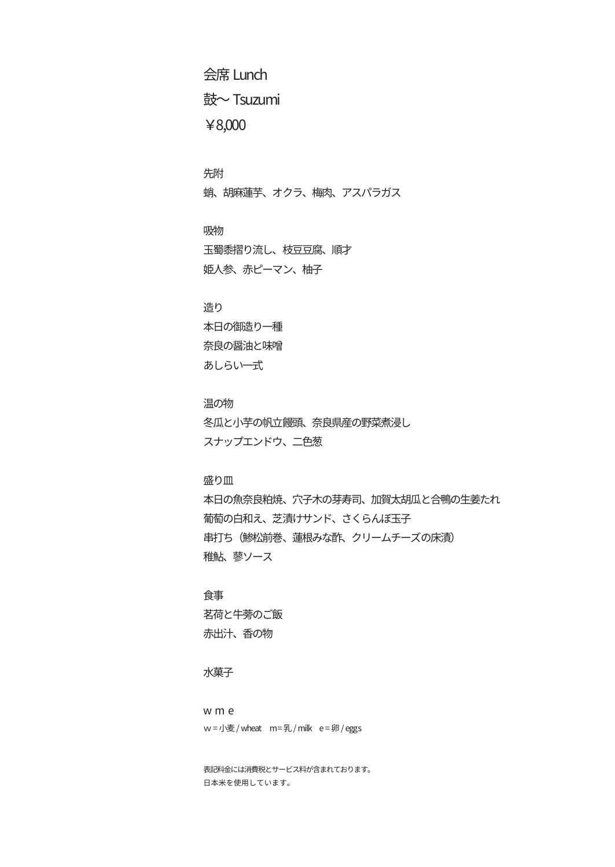Lunch 会席 鼓~ Tsuzumi ¥8,000

先附 蛸、胡麻蓮芋、オクラ、梅肉、アスパラガス

吸物 玉蜀黍摺り流し、枝豆豆腐、順才 姫人参、赤ピーマン、柚子

造り 本日の御造り一種 奈良の醤油と味噌 あしらい一式

温の物 冬瓜と小芋の帆立饅頭、奈良県産の野菜煮浸し スナップエンドウ、二色葱

盛り皿

本日の魚奈良粕焼、穴子木の芽寿司、加賀太胡瓜と合鴨の生姜たれ 葡萄の白和え、芝漬けサンド、さくらんぼ玉子 串打ち(鯵松前巻、蓮根みな酢、クリームチーズの床漬) 稚鮎 蓼ソース

食事 茗荷と牛蒡のご飯 赤出汁、香の物

水菓子

w m e  $w =$ 小麦 / wheat  $m = u / mi$ k e = 卵 / eggs

。表記料金には消費税とサービス料が含まれております 。日本米を使用しています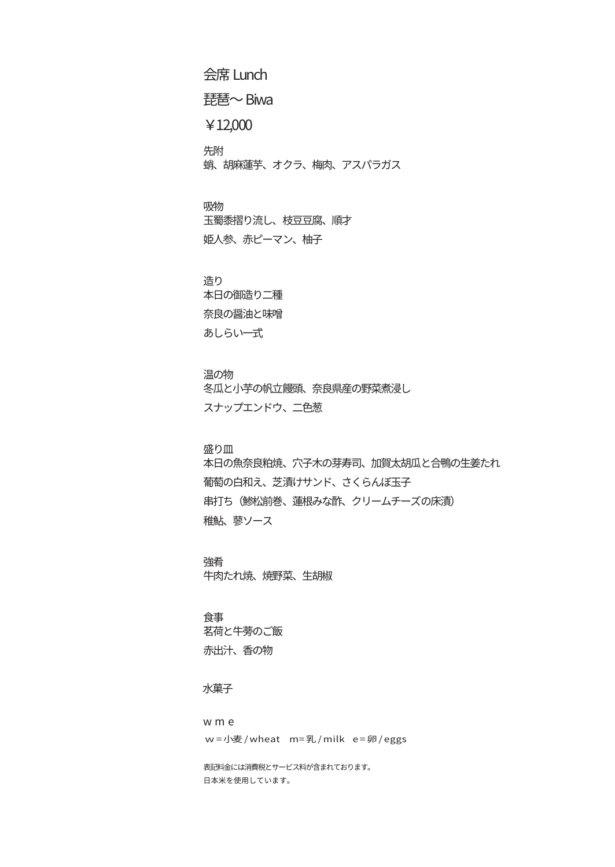Lunch 会席

琵琶~ Biwa

¥12,000

先附 蛸、胡麻蓮芋、オクラ、梅肉、アスパラガス

吸物 玉蜀黍摺り流し、枝豆豆腐、順才 姫人参、赤ピーマン、柚子

造り 本日の御造り二種 奈良の醤油と味噌 あしらい一式

温の物

冬瓜と小芋の帆立饅頭、奈良県産の野菜煮浸し スナップエンドウ、二色葱

盛り皿

本日の魚奈良粕焼、穴子木の芽寿司、加賀太胡瓜と合鴨の生姜たれ 葡萄の白和え、芝漬けサンド、さくらんぼ玉子 串打ち(鯵松前巻、蓮根みな酢、クリームチーズの床漬) 稚鮎 蓼ソース

強肴 牛肉たれ焼、焼野菜、生胡椒

食事 茗荷と牛蒡のご飯 赤出汁、香の物

水菓子

w m e w = 小麦 / wheat m = 乳 / milk e = 卵 / eggs

表記料金には消費税とサービス料が含まれております。 。日本米を使用しています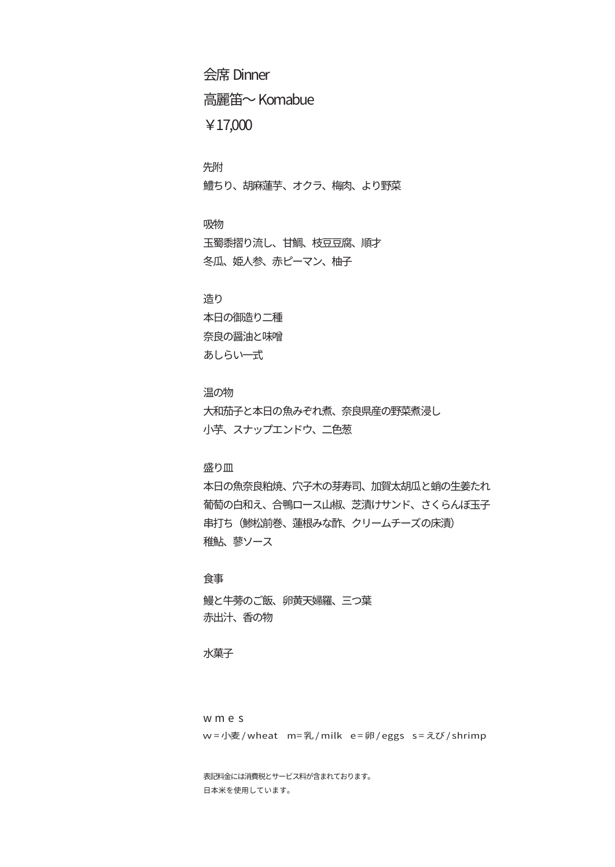Dinner 会席 高麗笛~ Komabue ¥17,000

先附 鱧ちり、胡麻蓮芋、オクラ、梅肉、より野菜

吸物 玉蜀黍摺り流し、甘鯛、枝豆豆腐、順才 冬瓜、姫人参、赤ピーマン、柚子

 造り 本日の御造り二種 奈良の醤油と味噌 あしらい一式

温の物 大和茄子と本日の魚みぞれ煮、奈良県産の野菜煮浸し 小芋、スナップエンドウ、二色葱

盛り皿

本日の魚奈良粕焼、穴子木の芽寿司、加賀太胡瓜と蛸の生姜たれ 葡萄の白和え、合鴨ロース山椒、芝漬けサンド、さくらんぼ玉子 串打ち(鯵松前巻、蓮根みな酢、クリームチーズの床漬) 稚鮎 蓼ソース

食事 鰻と牛蒡のご飯、卵黄天婦羅、三つ葉 赤出汁、香の物

水菓子

w m e s w = 小麦 / wheat m = 乳 / milk e = 卵 / eggs s = えび / shrimp

表記料金には消費税とサービス料が含まれております。 。日本米を使用しています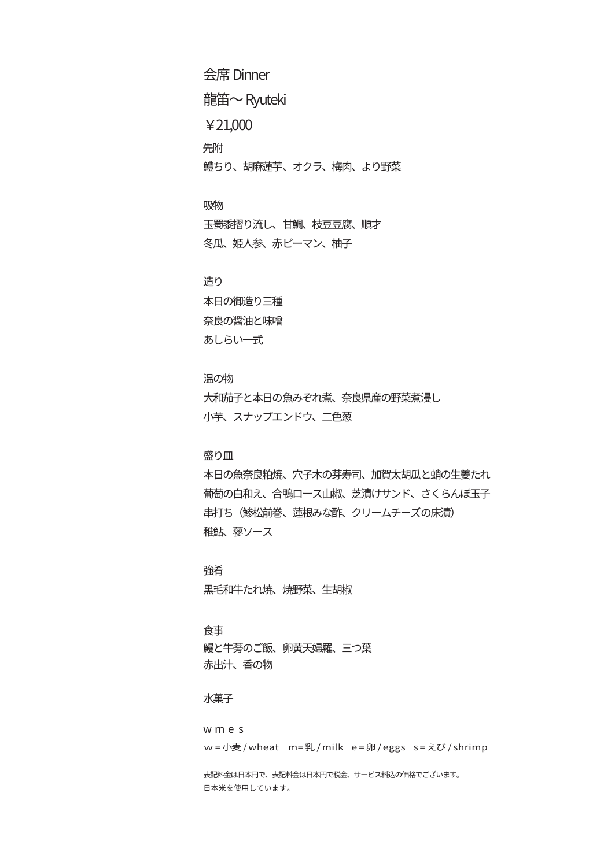Dinner 会席 龍笛~ Ryuteki ¥21,000 先附 鱒ちり、胡麻蓮芋、オクラ、梅肉、より野菜

吸物 玉蜀黍摺り流し、甘鯛、枝豆豆腐、順才 冬瓜、姫人参、赤ピーマン、柚子

 造り 本日の御造り三種 奈良の醤油と味噌 あしらい一式

温の物 大和茄子と本日の魚みぞれ煮、奈良県産の野菜煮浸し 小芋、スナップエンドウ、二色葱

盛り皿

本日の魚奈良粕焼、穴子木の芽寿司、加賀太胡瓜と蛸の生姜たれ 葡萄の白和え、合鴨ロース山椒、芝漬けサンド、さくらんぼ玉子 串打ち(鯵松前巻、蓮根みな酢、クリームチーズの床漬) 稚鮎 蓼ソース

強肴 黒毛和牛たれ焼、焼野菜、生胡椒

食事 鰻と牛蒡のご飯、卵黄天婦羅、三つ葉 赤出汁、香の物

水菓子

w m e s w = 小麦 / wheat m = 乳 / milk e = 卵 / eggs s = えび / shrimp 表記料金は日本円で、表記料金は日本円で税金、サービス料込の価格でございます。

。日本米を使用しています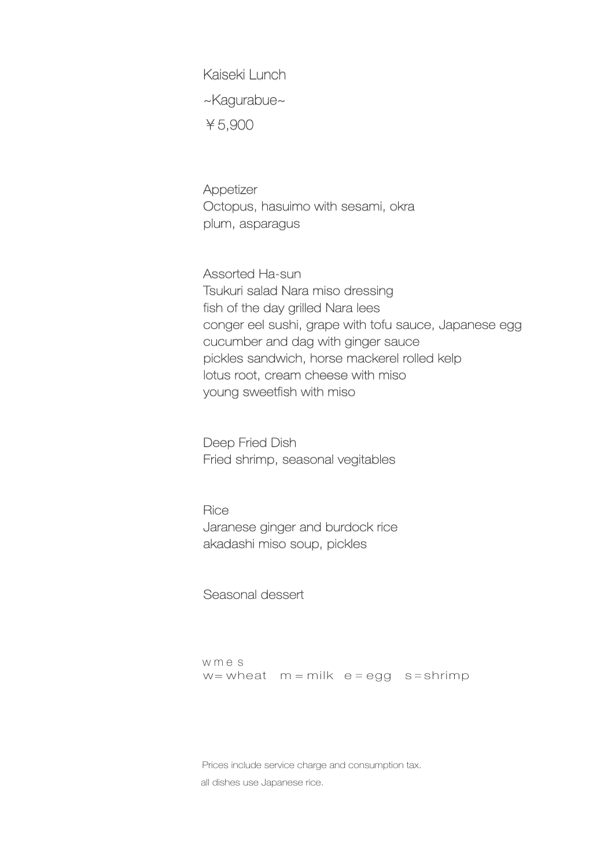Kaiseki Lunch ~Kagurabue~ ¥5,900

Appetizer Octopus, hasuimo with sesami, okra plum, asparagus

Assorted Ha-sun Tsukuri salad Nara miso dressing fish of the day grilled Nara lees conger eel sushi, grape with tofu sauce, Japanese egg cucumber and dag with ginger sauce pickles sandwich, horse mackerel rolled kelp lotus root, cream cheese with miso young sweetfish with miso

Deep Fried Dish Fried shrimp, seasonal vegitables

**Rice** Jaranese ginger and burdock rice akadashi miso soup, pickles

#### Seasonal dessert

w m e s  $w =$  wheat  $m =$  milk  $e =$  egg s = shrimp

Prices include service charge and consumption tax. all dishes use Japanese rice.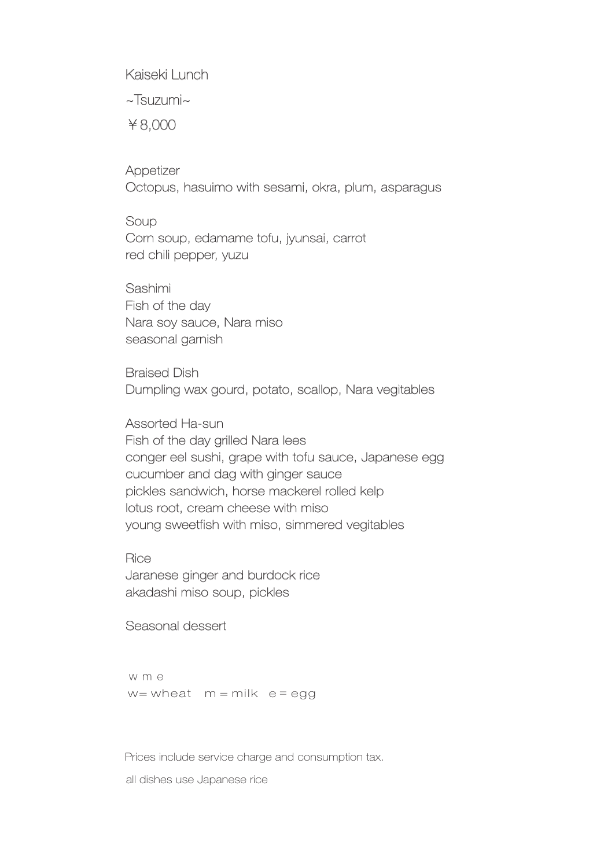Kaiseki Lunch

~Tsuzumi~

¥8,000

**Appetizer** Octopus, hasuimo with sesami, okra, plum, asparagus

**Soup** Corn soup, edamame tofu, jyunsai, carrot red chili pepper, yuzu

Sashimi Fish of the day Nara soy sauce, Nara miso seasonal garnish

**Braised Dish** Dumpling wax gourd, potato, scallop, Nara vegitables

Assorted Ha-sun Fish of the day grilled Nara lees conger eel sushi, grape with tofu sauce, Japanese egg cucumber and dag with ginger sauce pickles sandwich, horse mackerel rolled kelp lotus root, cream cheese with miso young sweetfish with miso, simmered vegitables

**Rice** Jaranese ginger and burdock rice akadashi miso soup, pickles

## Seasonal dessert

w m e  $w =$  wheat  $m =$  milk  $e =$  egg

Prices include service charge and consumption tax.

all dishes use Japanese rice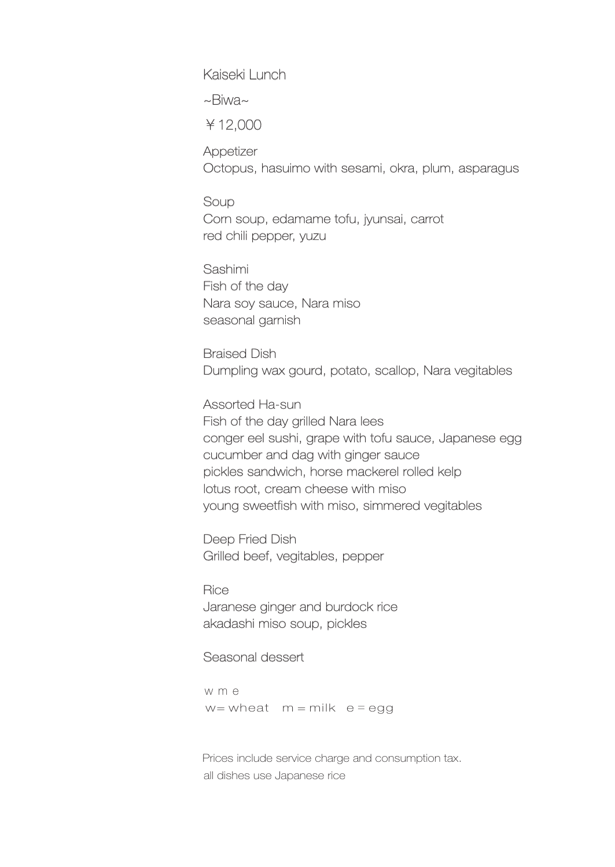Kaiseki Lunch

~Biwa~

¥12,000

**Appetizer** Octopus, hasuimo with sesami, okra, plum, asparagus

**Soup** Corn soup, edamame tofu, jyunsai, carrot red chili pepper, yuzu

Sashimi Fish of the day Nara soy sauce, Nara miso seasonal garnish

**Braised Dish** Dumpling wax gourd, potato, scallop, Nara vegitables

Assorted Ha-sun Fish of the day grilled Nara lees conger eel sushi, grape with tofu sauce, Japanese egg cucumber and dag with ginger sauce pickles sandwich, horse mackerel rolled kelp lotus root, cream cheese with miso young sweetfish with miso, simmered vegitables

Deep Fried Dish Grilled beef, vegitables, pepper

**Rice** Jaranese ginger and burdock rice akadashi miso soup, pickles

# Seasonal dessert

w m e  $w =$  wheat  $m =$  milk  $e =$  egg

Prices include service charge and consumption tax. all dishes use Japanese rice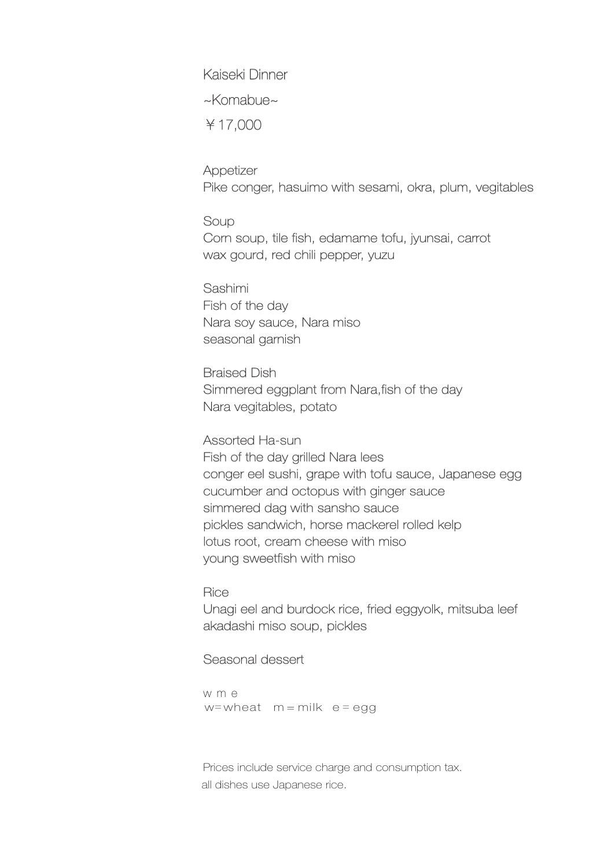Kaiseki Dinner

~Komabue~

¥17,000

Appetizer Pike conger, hasuimo with sesami, okra, plum, vegitables

Soup Corn soup, tile fish, edamame tofu, iyunsai, carrot wax gourd, red chili pepper, yuzu

Sashimi Fish of the day Nara soy sauce, Nara miso seasonal garnish

**Braised Dish** Simmered eggplant from Nara fish of the day Nara vegitables, potato

Assorted Ha-sun Fish of the day grilled Nara lees conger eel sushi, grape with tofu sauce, Japanese egg cucumber and octopus with ginger sauce simmered dag with sansho sauce pickles sandwich, horse mackerel rolled kelp lotus root, cream cheese with miso young sweetfish with miso

### **Rice**

Unagi eel and burdock rice, fried eggyolk, mitsuba leef akadashi miso soup, pickles

### Seasonal dessert

w m e w = wheat  $m = m$  ilk  $e = e$  a g

Prices include service charge and consumption tax. all dishes use Japanese rice.